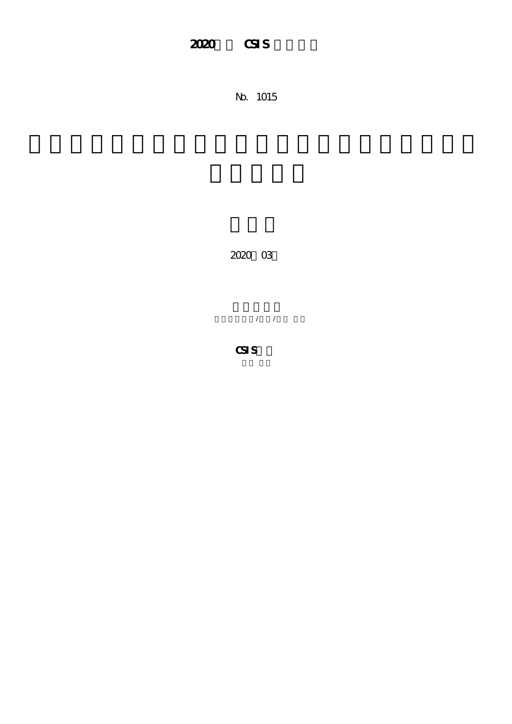## 2020 **CSIS**

No. 1015

2020年03月

芝浦工業大学/教授/中川 雅史

**CSIS教員**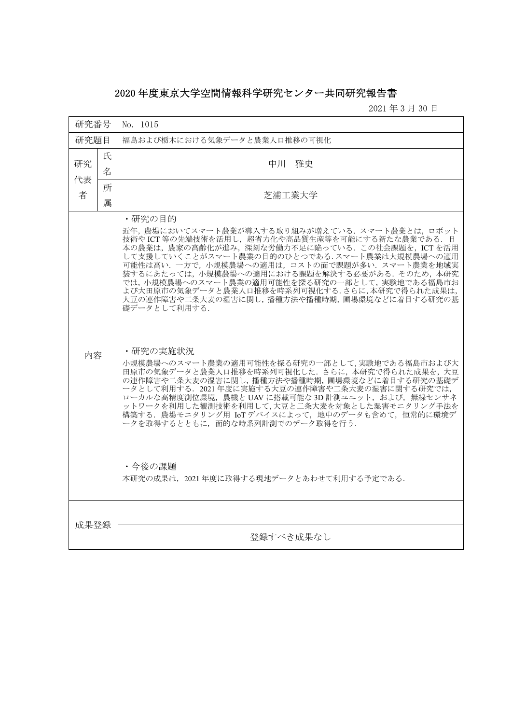## 2020 年度東京大学空間情報科学研究センター共同研究報告書

2021 年 3 月 30 日

| 研究番号          |        | No. 1015                                                                                                                                                                                                                                                                                                                                                                                                                                                                                                                                                                                                                                                                                                                                                                                                                                                                                                                                        |
|---------------|--------|-------------------------------------------------------------------------------------------------------------------------------------------------------------------------------------------------------------------------------------------------------------------------------------------------------------------------------------------------------------------------------------------------------------------------------------------------------------------------------------------------------------------------------------------------------------------------------------------------------------------------------------------------------------------------------------------------------------------------------------------------------------------------------------------------------------------------------------------------------------------------------------------------------------------------------------------------|
| 研究題目          |        | 福島および栃木における気象データと農業人口推移の可視化                                                                                                                                                                                                                                                                                                                                                                                                                                                                                                                                                                                                                                                                                                                                                                                                                                                                                                                     |
| 研究<br>代表<br>者 | 氏<br>名 | 中川<br>雅史                                                                                                                                                                                                                                                                                                                                                                                                                                                                                                                                                                                                                                                                                                                                                                                                                                                                                                                                        |
|               | 所<br>属 | 芝浦工業大学                                                                                                                                                                                                                                                                                                                                                                                                                                                                                                                                                                                                                                                                                                                                                                                                                                                                                                                                          |
| 内容            |        | ・研究の目的<br>近年、 農場においてスマート農業が導入する取り組みが増えている. スマート農業とは. ロボット<br>技術やICT等の先端技術を活用し、超省力化や高品質生産等を可能にする新たな農業である. 日<br>本の農業は、農家の高齢化が進み、深刻な労働力不足に陥っている. この社会課題を、ICTを活用<br>して支援していくことがスマート農業の目的のひとつである.スマート農業は大規模農場への適用<br>可能性は高い. 一方で、小規模農場への適用は、コストの面で課題が多い. スマート農業を地域実<br>装するにあたっては、小規模農場への適用における課題を解決する必要がある. そのため、本研究<br>では、小規模農場へのスマート農業の適用可能性を探る研究の一部として、実験地である福島市お<br>よび大田原市の気象データと農業人口推移を時系列可視化する.さらに,本研究で得られた成果は,<br>大豆の連作障害や二条大麦の湿害に関し,播種方法や播種時期,圃場環境などに着目する研究の基<br>礎データとして利用する.<br>・研究の実施状況<br>小規模農場へのスマート農業の適用可能性を探る研究の一部として,実験地である福島市および大<br>田原市の気象データと農業人口推移を時系列可視化した。さらに、本研究で得られた成果を、大豆<br>の連作障害や二条大麦の湿害に関し,播種方法や播種時期,圃場環境などに着目する研究の基礎デ<br>ータとして利用する. 2021年度に実施する大豆の連作障害や二条大麦の湿害に関する研究では,<br>ローカルな高精度測位環境, 農機と UAV に搭載可能な 3D 計測ユニット, および, 無線センサネ<br>ットワークを利用した観測技術を利用して,大豆と二条大麦を対象とした湿害モニタリング手法を<br>構築する. 農場モニタリング用 IoTデバイスによって、地中のデータも含めて、恒常的に環境デ<br>ータを取得するとともに、面的な時系列計測でのデータ取得を行う.<br>・今後の課題<br>本研究の成果は、2021年度に取得する現地データとあわせて利用する予定である. |
| 成果登録          |        | 登録すべき成果なし                                                                                                                                                                                                                                                                                                                                                                                                                                                                                                                                                                                                                                                                                                                                                                                                                                                                                                                                       |